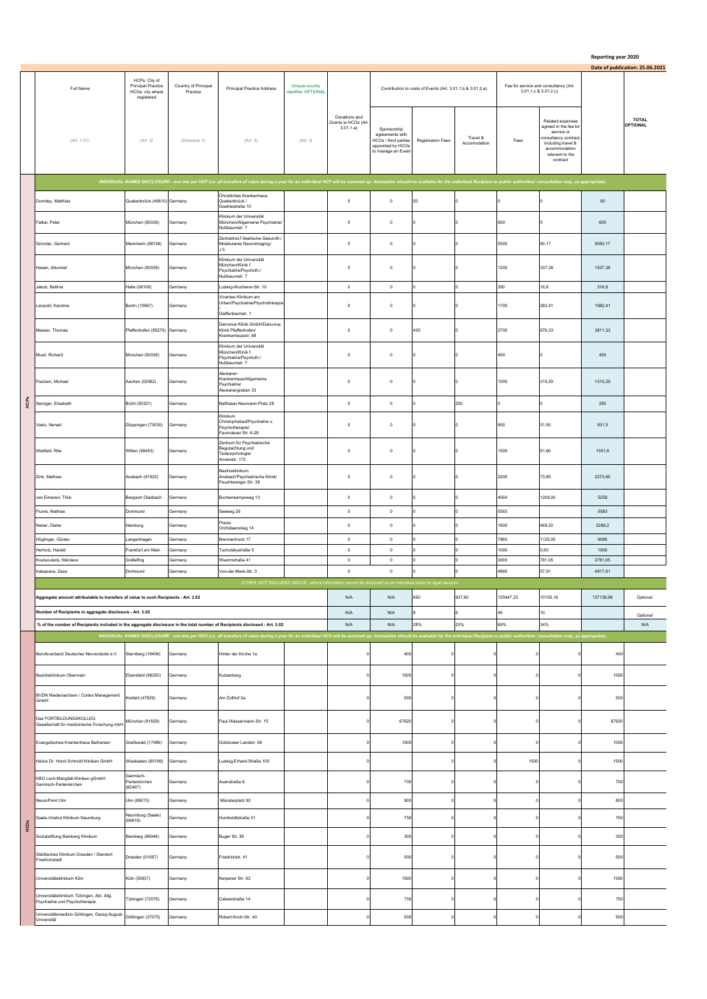## **Reporting year 2020**

|      | Full Name                                                                                                                                                                      | HCPs: City of<br>Principal Practice<br>HCOs: city where<br>registered | Country of Principal<br>Practice | Principal Practice Address                                                                                                                                                                                                     | Unique country<br>identifier OPTIONAL |                                                   |                                                                                                   | Contribution to costs of Events (Art. 3.01.1.b & 3.01.2.a) |                          | Fee for service and consultancy (Art.<br>3.01.1.c & 3.01.2.c) |                                                                                                                                                       |                 | Date of publication: 25.06.2021 |
|------|--------------------------------------------------------------------------------------------------------------------------------------------------------------------------------|-----------------------------------------------------------------------|----------------------------------|--------------------------------------------------------------------------------------------------------------------------------------------------------------------------------------------------------------------------------|---------------------------------------|---------------------------------------------------|---------------------------------------------------------------------------------------------------|------------------------------------------------------------|--------------------------|---------------------------------------------------------------|-------------------------------------------------------------------------------------------------------------------------------------------------------|-----------------|---------------------------------|
|      | (Art. 1.01)                                                                                                                                                                    | (Art. 3)                                                              | (Schedule 1)                     | (Art. 3)                                                                                                                                                                                                                       | (Art. 3)                              | Donations and<br>Grants to HCOs (Art<br>3.01.1.a) | Sponsorship<br>agreements with<br>HCOs / third parties<br>appointed by HCOs<br>to manage an Event | Registration Fees                                          | Travel &<br>Accomodation | Fees                                                          | Related expenses<br>agreed in the fee for<br>service or<br>consultancy contract<br>including travel &<br>accommodation<br>relevant to the<br>contract |                 | <b>TOTAL</b><br><b>OPTIONAL</b> |
|      |                                                                                                                                                                                |                                                                       |                                  | INDIVIDUAL NAMED DISCLOSURE - one line per HCP (i.e. all transfers of value during a year for an individual HCP will be summed up: itemization should be available for the individual Recipient or public authorities' consult |                                       |                                                   |                                                                                                   |                                                            |                          |                                                               |                                                                                                                                                       |                 |                                 |
|      | Domdey, Matthias                                                                                                                                                               | Quakenbrück (49610) Germany                                           |                                  | Christliches Krankenhaus<br>Quakenbrück /                                                                                                                                                                                      |                                       | $\mathbf 0$                                       | $\mathbf{0}$                                                                                      | 50                                                         |                          |                                                               |                                                                                                                                                       | 50              |                                 |
|      | Falkai, Peter                                                                                                                                                                  | München (80336)                                                       | Germany                          | Goethestraße 10<br>Klinikum der Universität<br>München/Allgemeine Psychiatrie/                                                                                                                                                 |                                       | $^{\circ}$                                        | $\mathbf 0$                                                                                       |                                                            |                          | 600                                                           |                                                                                                                                                       | 600             |                                 |
|      | Gründer, Gerhard                                                                                                                                                               | Mannheim (68159)                                                      | Germany                          | Nußbaumstr. 7<br>Zentralinst.f.Seelische Gesundh./<br>Molekulares Neuroimaging/                                                                                                                                                |                                       | $\mathbf{0}$                                      | $\circ$                                                                                           |                                                            |                          | 5000                                                          | 50,17                                                                                                                                                 | 5050,17         |                                 |
|      | Hasan, Alkomiet                                                                                                                                                                | München (80336)                                                       | Germany                          | J 5<br>Klinikum der Universität<br>München/Klinik f.                                                                                                                                                                           |                                       | $\mathbf 0$                                       | $\,0\,$                                                                                           |                                                            |                          | 1200                                                          | 337,38                                                                                                                                                | 1537,38         |                                 |
|      |                                                                                                                                                                                |                                                                       |                                  | Psychiatrie/Psychoth./<br>Nußbaumstr. 7                                                                                                                                                                                        |                                       |                                                   |                                                                                                   |                                                            |                          |                                                               |                                                                                                                                                       |                 |                                 |
|      | Jakob, Bettina                                                                                                                                                                 | Halle (06108)                                                         | Germany                          | Ludwig-Wucherer-Str. 10<br>Vivantes Klinikum am                                                                                                                                                                                |                                       | $\mathbb O$                                       | $\,0\,$                                                                                           |                                                            | I٥                       | 300                                                           | 16,8                                                                                                                                                  | 316,8           |                                 |
|      | Leopold, Karolina                                                                                                                                                              | Berlin (10967)                                                        | Germany                          | Urban/Psychiatrie/Psychotherapie<br>Dieffenbachstr. 1                                                                                                                                                                          |                                       | $\mathbf 0$                                       | $\circ$                                                                                           |                                                            |                          | 1700                                                          | 282,41                                                                                                                                                | 1982.41         |                                 |
|      | Messer, Thomas                                                                                                                                                                 | Pfaffenhofen (85276) Germany                                          |                                  | Danuvius Klinik GmbH/Danuvius<br>Klinik Pfaffenhofen/<br>Krankenhausstr. 68                                                                                                                                                    |                                       | $\mathbf 0$                                       | $\,0\,$                                                                                           | 435                                                        |                          | 2700                                                          | 676,33                                                                                                                                                | 3811,33         |                                 |
|      | Musil, Richard                                                                                                                                                                 | München (80336)                                                       | Germany                          | Klinikum der Universität<br>München/Klinik f<br>Psychiatrie/Psychoth./<br>Nußbaumstr. 7                                                                                                                                        |                                       | $\mathbf 0$                                       | $\,0\,$                                                                                           |                                                            |                          | 450                                                           |                                                                                                                                                       | 450             |                                 |
|      | Paulzen, Michael                                                                                                                                                               | Aachen (52062)                                                        | Germany                          | Alexianer-<br>Krankenhaus/Allgemeine<br>Psychiatrie/<br>Alexianergraben 33                                                                                                                                                     |                                       | $\mathbf 0$                                       | $\,0\,$                                                                                           |                                                            |                          | 1000                                                          | 315,29                                                                                                                                                | 1315,29         |                                 |
| HCPS | Seiniger, Elisabeth                                                                                                                                                            | Brühl (50321)                                                         | Germany                          | Balthasar-Neumann-Platz 28                                                                                                                                                                                                     |                                       | $\mathbf 0$                                       | $\mathbf{0}$                                                                                      |                                                            | 250                      |                                                               |                                                                                                                                                       | 250             |                                 |
|      | Vasic, Nenad                                                                                                                                                                   | Göppingen (73035)                                                     | Germany                          | Klinikum<br>Christophsbad/Psychiatrie u.<br>Psychotherapie/<br>Faurndauer Str. 6-28                                                                                                                                            |                                       | $\mathbf 0$                                       | $\circ$                                                                                           |                                                            |                          | 900                                                           | 31,50                                                                                                                                                 | 931.5           |                                 |
|      | Wietfeld, Rita                                                                                                                                                                 | Witten (58453)                                                        | Germany                          | Zentrum für Psychiatrische<br>Begutachtung und<br>Testpsychologie/<br>Annenstr. 172                                                                                                                                            |                                       | $\pmb{0}$                                         | $\,0\,$                                                                                           |                                                            |                          | 1500                                                          | 51,60                                                                                                                                                 | 1551,6          |                                 |
|      | Zink. Mathias                                                                                                                                                                  | Ansbach (91522)                                                       | Germany                          | Bezirksklinikum<br>Ansbach/Psychiatrische Klinik/<br>Feuchtwanger Str. 38                                                                                                                                                      |                                       | $\mathbf 0$                                       | $\mathbf{0}$                                                                                      |                                                            |                          | 2200                                                          | 73,65                                                                                                                                                 | 2273,65         |                                 |
|      | van Eimeren, Thilo                                                                                                                                                             | Bergisch Gladbach                                                     | Germany                          | Buchenkampsweg 13                                                                                                                                                                                                              |                                       | $\mathbf 0$                                       | $\mathbf 0$                                                                                       |                                                            |                          | 4050                                                          | 1209,00                                                                                                                                               | 5259            |                                 |
|      | Flume, Mathias                                                                                                                                                                 | Dortmund                                                              | Germany                          | Seeweg 26                                                                                                                                                                                                                      |                                       | $\mathbf 0$                                       | $\mathbb O$                                                                                       |                                                            | $\overline{0}$           | 5583                                                          |                                                                                                                                                       | 5583            |                                 |
|      | Naber, Dieter                                                                                                                                                                  | Hamburg                                                               | Germany                          | Praxis<br>Orchideenstieg 14                                                                                                                                                                                                    |                                       | $\mathbf 0$                                       | $\mathbf 0$                                                                                       |                                                            |                          | 1800                                                          | 469,20                                                                                                                                                | 2269,2          |                                 |
|      | Höglinger, Günter                                                                                                                                                              | Langenhagen                                                           | Germany                          | Brennenhorst 17                                                                                                                                                                                                                |                                       | $\circ$                                           | $\circ$                                                                                           |                                                            | I٥<br>I٥                 | 7965                                                          | 1125.00                                                                                                                                               | 9090            |                                 |
|      | Herholz, Harald<br>Koutsouleris, Nikolaos                                                                                                                                      | Frankfurt am Main<br>Gräfelfing                                       | Germany<br>Germany               | Tucholskystraße 5<br>Wuermstraße 41                                                                                                                                                                                            |                                       | $\mathbb O$<br>$\,$ 0 $\,$                        | $^{\circ}$<br>$\circ$                                                                             |                                                            | $\overline{0}$           | 1000<br>2000                                                  | 0,00<br>781,05                                                                                                                                        | 1000<br>2781,05 |                                 |
|      | Katsaraya, Zaza                                                                                                                                                                | Dortmund                                                              | Germany                          | Von-der-Mark-Str. 3                                                                                                                                                                                                            |                                       | $\,$ 0 $\,$                                       | $\circ$                                                                                           |                                                            |                          | 4860                                                          | 57,91                                                                                                                                                 | 4917.91         |                                 |
|      | OTHER, NOT INCLUDED ABOVE - where information cannot be disclosed on an individual basis for legal reaso<br>of value to such Recipients - Art. 3.02<br>ggregate amount attribu |                                                                       |                                  |                                                                                                                                                                                                                                |                                       | N/A                                               | N/A                                                                                               | 50                                                         | 937.60                   | 25447 23                                                      | 10105,16                                                                                                                                              | 137139,99       | Optional                        |
|      | Number of Recipients in aggregate disclosure - Art. 3.02                                                                                                                       |                                                                       |                                  |                                                                                                                                                                                                                                |                                       | N/A                                               | N/A                                                                                               |                                                            |                          | 45                                                            | 10                                                                                                                                                    |                 |                                 |
|      | % of the number of Recipients included in the aggregate disclosure in the total number of Recipients disclosed - Art. 3.02                                                     |                                                                       |                                  |                                                                                                                                                                                                                                |                                       | N/A                                               | N/A                                                                                               | 28%                                                        | 23%                      | 69%                                                           | 34%                                                                                                                                                   |                 | Optional<br>N/A                 |
|      |                                                                                                                                                                                |                                                                       |                                  | INDIVIDUAL NAMED DISCLOSURE - one line per HCO (i.e. all transfers of value during a year for an individual HCO will be summed up: itemization should be available for the individual Recipient or public authorities' consult |                                       |                                                   |                                                                                                   |                                                            |                          |                                                               |                                                                                                                                                       |                 |                                 |
|      | Berufsverband Deutscher Nervenärzte e.V.                                                                                                                                       | Sternberg (19406)                                                     | Germany                          | Hinter der Kirche 1a                                                                                                                                                                                                           |                                       |                                                   | 400                                                                                               |                                                            |                          |                                                               |                                                                                                                                                       | 400             |                                 |
|      | Bezirksklinikum Obermain                                                                                                                                                       | Ebensfeld (96250)                                                     | Germany                          | Kutzenberg                                                                                                                                                                                                                     |                                       |                                                   | 1500                                                                                              |                                                            |                          |                                                               | $^{\circ}$                                                                                                                                            | 1500            |                                 |
|      | BVDN Niedersachsen / Cortex Management<br>GmbH                                                                                                                                 | Krefeld (47829)                                                       | Germany                          | Am Zollhof 2a                                                                                                                                                                                                                  |                                       |                                                   | 500                                                                                               |                                                            |                          |                                                               |                                                                                                                                                       | 500             |                                 |
|      | Das FORTBILDUNGSKOLLEG<br>Sesellschaft für medizinische Forschung mbH                                                                                                          | München (81829)                                                       | Germany                          | Paul-Wassermann-Str. 15                                                                                                                                                                                                        |                                       |                                                   | 67620                                                                                             |                                                            |                          |                                                               | $\overline{0}$                                                                                                                                        | 67620           |                                 |
|      | Evangelisches Krankenhaus Bethanien                                                                                                                                            | Greifswald (17489)                                                    | Germany                          | Gützkower Landstr. 69                                                                                                                                                                                                          |                                       |                                                   | 1000                                                                                              |                                                            |                          |                                                               |                                                                                                                                                       | 1000            |                                 |
|      | Helios Dr. Horst Schmidt Kliniken GmbH                                                                                                                                         | Wiesbaden (65199)                                                     | Germany                          | Ludwig-Erhard-Straße 100                                                                                                                                                                                                       |                                       |                                                   |                                                                                                   |                                                            |                          | 1500                                                          | $^{\circ}$                                                                                                                                            | 1500            |                                 |
|      | KBO Lech-Mangfall-Kliniken gGmbH<br>Garmisch-Partenkirchen                                                                                                                     | Garmisch-<br>Partenkirchen<br>(82467)                                 | Germany                          | Auenstraße 6                                                                                                                                                                                                                   |                                       |                                                   | 700                                                                                               |                                                            |                          |                                                               |                                                                                                                                                       | 700             |                                 |
|      | NeuroPoint Ulm                                                                                                                                                                 | Ulm (89073)                                                           | Germany                          | Münsterplatz 92                                                                                                                                                                                                                |                                       |                                                   | 800                                                                                               |                                                            |                          | ¢                                                             |                                                                                                                                                       | 800             |                                 |
| HCOS | Saale-Unstrut Klinikum Naumburg                                                                                                                                                | Naumburg (Saale)<br>(06618)                                           | Germany                          | Humboldtstraße 31                                                                                                                                                                                                              |                                       |                                                   | 750                                                                                               |                                                            |                          |                                                               | $^{\circ}$                                                                                                                                            | 750             |                                 |
|      | Sozialstiftung Bamberg Klinikum                                                                                                                                                | Bamberg (96049)                                                       | Germany                          | Buger Str. 80                                                                                                                                                                                                                  |                                       |                                                   | 300                                                                                               |                                                            |                          |                                                               |                                                                                                                                                       | 300             |                                 |
|      | Städtisches Klinikum Dresden / Standort<br>Friedrichstadt                                                                                                                      | Dresden (01067)                                                       | Germany                          | Friedrichstr. 41                                                                                                                                                                                                               |                                       |                                                   | 500                                                                                               |                                                            |                          | C                                                             | - 0                                                                                                                                                   | 500             |                                 |
|      | Universitätsklinikum Köln                                                                                                                                                      | Köln (50937)                                                          | Germany                          | Kerpener Str. 62                                                                                                                                                                                                               |                                       |                                                   | 1500                                                                                              |                                                            |                          |                                                               |                                                                                                                                                       | 1500            |                                 |
|      | Universitätsklinikum Tübingen, Abt. Allg.<br>Psychiatrie und Psychotherapie                                                                                                    | Tübingen (72076)                                                      | Germany                          | Calwerstraße 14                                                                                                                                                                                                                |                                       |                                                   | 750                                                                                               |                                                            |                          |                                                               |                                                                                                                                                       | 750             |                                 |
|      | Universitätsmedizin Göttingen, Georg-August-<br>Universität                                                                                                                    | Göttingen (37075)                                                     | Germany                          | Robert-Koch-Str. 40                                                                                                                                                                                                            |                                       |                                                   | 500                                                                                               |                                                            |                          |                                                               |                                                                                                                                                       | 500             |                                 |